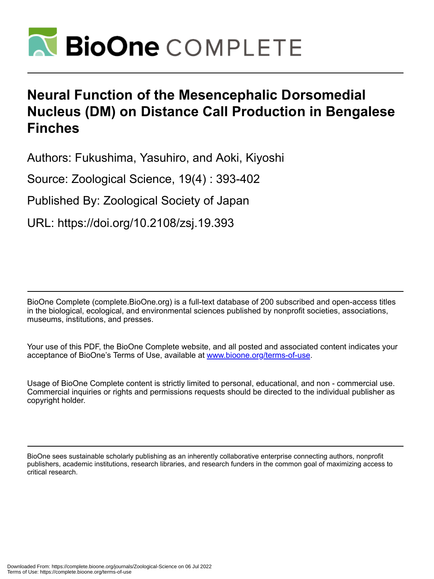

# **Neural Function of the Mesencephalic Dorsomedial Nucleus (DM) on Distance Call Production in Bengalese Finches**

Authors: Fukushima, Yasuhiro, and Aoki, Kiyoshi

Source: Zoological Science, 19(4) : 393-402

Published By: Zoological Society of Japan

URL: https://doi.org/10.2108/zsj.19.393

BioOne Complete (complete.BioOne.org) is a full-text database of 200 subscribed and open-access titles in the biological, ecological, and environmental sciences published by nonprofit societies, associations, museums, institutions, and presses.

Your use of this PDF, the BioOne Complete website, and all posted and associated content indicates your acceptance of BioOne's Terms of Use, available at www.bioone.org/terms-of-use.

Usage of BioOne Complete content is strictly limited to personal, educational, and non - commercial use. Commercial inquiries or rights and permissions requests should be directed to the individual publisher as copyright holder.

BioOne sees sustainable scholarly publishing as an inherently collaborative enterprise connecting authors, nonprofit publishers, academic institutions, research libraries, and research funders in the common goal of maximizing access to critical research.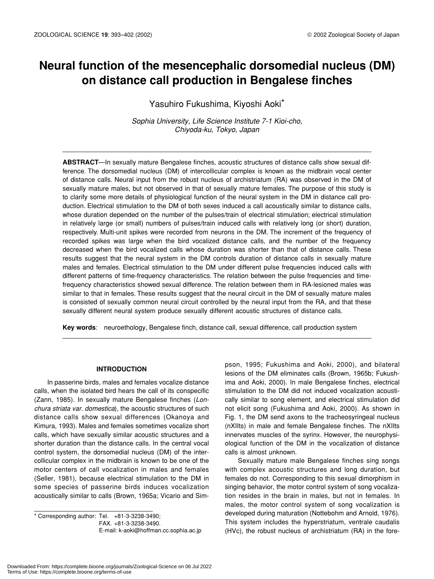## **Neural function of the mesencephalic dorsomedial nucleus (DM) on distance call production in Bengalese finches**

Yasuhiro Fukushima, Kiyoshi Aoki\*

*Sophia University, Life Science Institute 7-1 Kioi-cho, Chiyoda-ku, Tokyo, Japan*

**ABSTRACT**—In sexually mature Bengalese finches, acoustic structures of distance calls show sexual difference. The dorsomedial nucleus (DM) of intercollicular complex is known as the midbrain vocal center of distance calls. Neural input from the robust nucleus of archistriatum (RA) was observed in the DM of sexually mature males, but not observed in that of sexually mature females. The purpose of this study is to clarify some more details of physiological function of the neural system in the DM in distance call production. Electrical stimulation to the DM of both sexes induced a call acoustically similar to distance calls, whose duration depended on the number of the pulses/train of electrical stimulation; electrical stimulation in relatively large (or small) numbers of pulses/train induced calls with relatively long (or short) duration, respectively. Multi-unit spikes were recorded from neurons in the DM. The increment of the frequency of recorded spikes was large when the bird vocalized distance calls, and the number of the frequency decreased when the bird vocalized calls whose duration was shorter than that of distance calls. These results suggest that the neural system in the DM controls duration of distance calls in sexually mature males and females. Electrical stimulation to the DM under different pulse frequencies induced calls with different patterns of time-frequency characteristics. The relation between the pulse frequencies and timefrequency characteristics showed sexual difference. The relation between them in RA-lesioned males was similar to that in females. These results suggest that the neural circuit in the DM of sexually mature males is consisted of sexually common neural circuit controlled by the neural input from the RA, and that these sexually different neural system produce sexually different acoustic structures of distance calls.

**Key words**: neuroethology, Bengalese finch, distance call, sexual difference, call production system

## **INTRODUCTION**

In passerine birds, males and females vocalize distance calls, when the isolated bird hears the call of its conspecific (Zann, 1985). In sexually mature Bengalese finches (*Lonchura striata var. domestica*), the acoustic structures of such distance calls show sexual differences (Okanoya and Kimura, 1993). Males and females sometimes vocalize short calls, which have sexually similar acoustic structures and a shorter duration than the distance calls. In the central vocal control system, the dorsomedial nucleus (DM) of the intercollicular complex in the midbrain is known to be one of the motor centers of call vocalization in males and females (Seller, 1981), because electrical stimulation to the DM in some species of passerine birds induces vocalization acoustically similar to calls (Brown, 1965a; Vicario and Sim-

\* Corresponding author: Tel. +81-3-3238-3490; FAX. +81-3-3238-3490. E-mail: k-aoki@hoffman.cc.sophia.ac.jp pson, 1995; Fukushima and Aoki, 2000), and bilateral lesions of the DM eliminates calls (Brown, 1965b; Fukushima and Aoki, 2000). In male Bengalese finches, electrical stimulation to the DM did not induced vocalization acoustically similar to song element, and electrical stimulation did not elicit song (Fukushima and Aoki, 2000). As shown in Fig. 1, the DM send axons to the tracheosyringeal nucleus (nXIIts) in male and female Bengalese finches. The nXIIts innervates muscles of the syrinx. However, the neurophysiological function of the DM in the vocalization of distance calls is almost unknown.

Sexually mature male Bengalese finches sing songs with complex acoustic structures and long duration, but females do not. Corresponding to this sexual dimorphism in singing behavior, the motor control system of song vocalization resides in the brain in males, but not in females. In males, the motor control system of song vocalization is developed during maturation (Nottebohm and Arnold, 1976). This system includes the hyperstriatum, ventrale caudalis (HVc), the robust nucleus of archistriatum (RA) in the fore-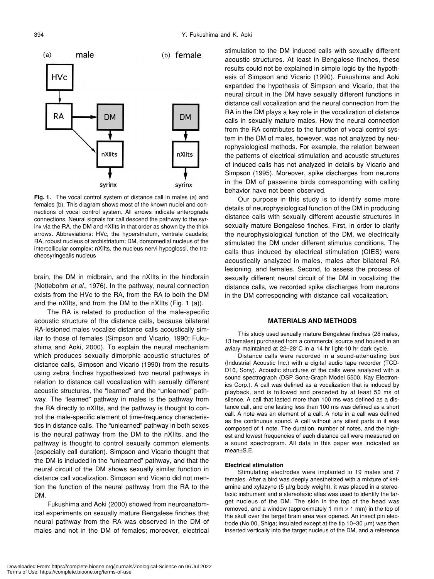

**Fig. 1.** The vocal control system of distance call in males (a) and females (b). This diagram shows most of the known nuclei and connections of vocal control system. All arrows indicate anterograde connections. Neural signals for call descend the pathway to the syrinx via the RA, the DM and nXIIts in that order as shown by the thick arrows. Abbreviations: HVc, the hyperstriatum, ventrale caudalis; RA, robust nucleus of archistriatum; DM, dorsomedial nucleus of the intercollicular complex; nXIIts, the nucleus nervi hypoglossi, the tracheosyringealis nucleus

brain, the DM in midbrain, and the nXIIts in the hindbrain (Nottebohm *et al.*, 1976). In the pathway, neural connection exists from the HVc to the RA, from the RA to both the DM and the nXIIts, and from the DM to the nXIIts (Fig. 1 (a)).

The RA is related to production of the male-specific acoustic structure of the distance calls, because bilateral RA-lesioned males vocalize distance calls acoustically similar to those of females (Simpson and Vicario, 1990; Fukushima and Aoki, 2000). To explain the neural mechanism which produces sexually dimorphic acoustic structures of distance calls, Simpson and Vicario (1990) from the results using zebra finches hypothesized two neural pathways in relation to distance call vocalization with sexually different acoustic structures, the "learned" and the "unlearned" pathway. The "learned" pathway in males is the pathway from the RA directly to nXIIts, and the pathway is thought to control the male-specific element of time-frequency characteristics in distance calls. The "unlearned" pathway in both sexes is the neural pathway from the DM to the nXIIts, and the pathway is thought to control sexually common elements (especially call duration). Simpson and Vicario thought that the DM is included in the "unlearned" pathway, and that the neural circuit of the DM shows sexually similar function in distance call vocalization. Simpson and Vicario did not mention the function of the neural pathway from the RA to the DM.

Fukushima and Aoki (2000) showed from neuroanatomical experiments on sexually mature Bengalese finches that neural pathway from the RA was observed in the DM of males and not in the DM of females; moreover, electrical stimulation to the DM induced calls with sexually different acoustic structures. At least in Bengalese finches, these results could not be explained in simple logic by the hypothesis of Simpson and Vicario (1990). Fukushima and Aoki expanded the hypothesis of Simpson and Vicario, that the neural circuit in the DM have sexually different functions in distance call vocalization and the neural connection from the RA in the DM plays a key role in the vocalization of distance calls in sexually mature males. How the neural connection from the RA contributes to the function of vocal control system in the DM of males, however, was not analyzed by neurophysiological methods. For example, the relation between the patterns of electrical stimulation and acoustic structures of induced calls has not analyzed in details by Vicario and Simpson (1995). Moreover, spike discharges from neurons in the DM of passerine birds corresponding with calling behavior have not been observed.

Our purpose in this study is to identify some more details of neurophysiological function of the DM in producing distance calls with sexually different acoustic structures in sexually mature Bengalese finches. First, in order to clarify the neurophysiological function of the DM, we electrically stimulated the DM under different stimulus conditions. The calls thus induced by electrical stimulation (CIES) were acoustically analyzed in males, males after bilateral RA lesioning, and females. Second, to assess the process of sexually different neural circuit of the DM in vocalizing the distance calls, we recorded spike discharges from neurons in the DM corresponding with distance call vocalization.

## **MATERIALS AND METHODS**

This study used sexually mature Bengalese finches (28 males, 13 females) purchased from a commercial source and housed in an aviary maintained at 22–28°C in a 14 hr light-10 hr dark cycle.

Distance calls were recorded in a sound-attenuating box (Industrial Acoustic Inc.) with a digital audio tape recorder (TCD-D10, Sony). Acoustic structures of the calls were analyzed with a sound spectrograph (DSP Sona-Graph Model 5500, Kay Electronics Corp.). A call was defined as a vocalization that is induced by playback, and is followed and preceded by at least 50 ms of silence. A call that lasted more than 100 ms was defined as a distance call, and one lasting less than 100 ms was defined as a short call. A note was an element of a call. A note in a call was defined as the continuous sound. A call without any silent parts in it was composed of 1 note. The duration, number of notes, and the highest and lowest frequencies of each distance call were measured on a sound spectrogram. All data in this paper was indicated as mean±S.E.

### **Electrical stimulation**

Stimulating electrodes were implanted in 19 males and 7 females. After a bird was deeply anesthetized with a mixture of ketamine and xylazyne (5 µl/g body weight), it was placed in a stereotaxic instrument and a stereotaxic atlas was used to identify the target nucleus of the DM. The skin in the top of the head was removed, and a window (approximately 1 mm  $\times$  1 mm) in the top of the skull over the target brain area was opened. An insect pin electrode (No.00, Shiga; insulated except at the tip 10–30 µm) was then inserted vertically into the target nucleus of the DM, and a reference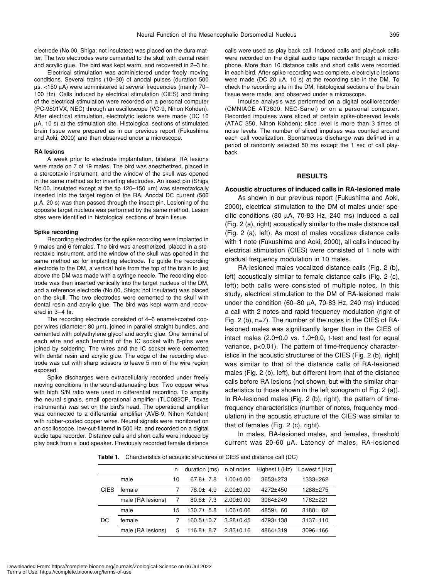electrode (No.00, Shiga; not insulated) was placed on the dura matter. The two electrodes were cemented to the skull with dental resin and acrylic glue. The bird was kept warm, and recovered in 2–3 hr.

Electrical stimulation was administered under freely moving conditions. Several trains (10–30) of anodal pulses (duration 500 µs, <150 µA) were administered at several frequencies (mainly 70– 100 Hz). Calls induced by electrical stimulation (CIES) and timing of the electrical stimulation were recorded on a personal computer (PC-9801VX, NEC) through an oscilloscope (VC-9, Nihon Kohden). After electrical stimulation, electrolytic lesions were made (DC 10 µA, 10 s) at the stimulation site. Histological sections of stimulated brain tissue were prepared as in our previous report (Fukushima and Aoki, 2000) and then observed under a microscope.

### **RA lesions**

A week prior to electrode implantation, bilateral RA lesions were made on 7 of 19 males. The bird was anesthetized, placed in a stereotaxic instrument, and the window of the skull was opened in the same method as for inserting electrodes. An insect pin (Shiga No.00, insulated except at the tip 120–150 µm) was stereotaxically inserted into the target region of the RA. Anodal DC current (500 µ A, 20 s) was then passed through the insect pin. Lesioning of the opposite target nucleus was performed by the same method. Lesion sites were identified in histological sections of brain tissue.

#### **Spike recording**

Recording electrodes for the spike recording were implanted in 9 males and 6 females. The bird was anesthetized, placed in a stereotaxic instrument, and the window of the skull was opened in the same method as for implanting electrode. To guide the recording electrode to the DM, a vertical hole from the top of the brain to just above the DM was made with a syringe needle. The recording electrode was then inserted vertically into the target nucleus of the DM, and a reference electrode (No.00, Shiga; not insulated) was placed on the skull. The two electrodes were cemented to the skull with dental resin and acrylic glue. The bird was kept warm and recovered in 3–4 hr.

The recording electrode consisted of 4–6 enamel-coated copper wires (diameter: 80 µm), joined in parallel straight bundles, and cemented with polyethylene glycol and acrylic glue. One terminal of each wire and each terminal of the IC socket with 8-pins were joined by soldering. The wires and the IC socket were cemented with dental resin and acrylic glue. The edge of the recording electrode was cut with sharp scissors to leave 5 mm of the wire region exposed.

Spike discharges were extracellularly recorded under freely moving conditions in the sound-attenuating box. Two copper wires with high S/N ratio were used in differential recording. To amplify the neural signals, small operational amplifier (TLC082CP, Texas instruments) was set on the bird's head. The operational amplifier was connected to a differential amplifier (AVB-9, Nihon Kohden) with rubber-coated copper wires. Neural signals were monitored on an oscilloscope, low-cut-filtered in 500 Hz, and recorded on a digital audio tape recorder. Distance calls and short calls were induced by play back from a loud speaker. Previously recorded female distance

calls were used as play back call. Induced calls and playback calls were recorded on the digital audio tape recorder through a microphone. More than 10 distance calls and short calls were recorded in each bird. After spike recording was complete, electrolytic lesions were made (DC 20 µA, 10 s) at the recording site in the DM. To check the recording site in the DM, histological sections of the brain tissue were made, and observed under a microscope.

Impulse analysis was performed on a digital oscillorecorder (OMNIACE AT3600, NEC-Sanei) or on a personal computer. Recorded impulses were sliced at certain spike-observed levels (ATAC 350, Nihon Kohden); slice level is more than 3 times of noise levels. The number of sliced impulses was counted around each call vocalization. Spontaneous discharge was defined in a period of randomly selected 50 ms except the 1 sec of call playback.

## **RESULTS**

## **Acoustic structures of induced calls in RA-lesioned male**

As shown in our previous report (Fukushima and Aoki, 2000), electrical stimulation to the DM of males under specific conditions (80  $\mu$ A, 70-83 Hz, 240 ms) induced a call (Fig. 2 (a), right) acoustically similar to the male distance call (Fig. 2 (a), left). As most of males vocalizes distance calls with 1 note (Fukushima and Aoki, 2000), all calls induced by electrical stimulation (CIES) were consisted of 1 note with gradual frequency modulation in 10 males.

RA-lesioned males vocalized distance calls (Fig. 2 (b), left) acoustically similar to female distance calls (Fig. 2 (c), left); both calls were consisted of multiple notes. In this study, electrical stimulation to the DM of RA-lesioned male under the condition (60–80 µA, 70-83 Hz, 240 ms) induced a call with 2 notes and rapid frequency modulation (right of Fig. 2 (b), n=7). The number of the notes in the CIES of RAlesioned males was significantly larger than in the CIES of intact males (2.0±0.0 vs. 1.0±0.0, t-test and test for equal variance, p<0.01). The pattern of time-frequency characteristics in the acoustic structures of the CIES (Fig. 2 (b), right) was similar to that of the distance calls of RA-lesioned males (Fig. 2 (b), left), but different from that of the distance calls before RA lesions (not shown, but with the similar characteristics to those shown in the left sonogram of Fig. 2 (a)). In RA-lesioned males (Fig. 2 (b), right), the pattern of timefrequency characteristics (number of notes, frequency modulation) in the acoustic structure of the CIES was similar to that of females (Fig. 2 (c), right).

In males, RA-lesioned males, and females, threshold current was 20-60 µA. Latency of males, RA-lesioned

**Table 1.** Charcteristics of acoustic structures of CIES and distance call (DC)

|             |                   | n  | duration (ms)   | n of notes      | Highest f (Hz) | Lowest f (Hz) |
|-------------|-------------------|----|-----------------|-----------------|----------------|---------------|
| <b>CIES</b> | male              | 10 | $67.8 \pm 7.8$  | $1.00 \pm 0.00$ | $3653 \pm 273$ | 1333±262      |
|             | female            |    | 78.0± 4.9       | $2.00+0.00$     | 4272±450       | 1288±275      |
|             | male (RA lesions) | 7  | $80.6 \pm 7.3$  | $2.00 \pm 0.00$ | $3064 + 249$   | 1762±221      |
| DC          | male              | 15 | $130.7 \pm 5.8$ | $1.06 \pm 0.06$ | $4859 \pm 60$  | $3188 \pm 82$ |
|             | female            |    | 160.5±10.7      | $3.28 \pm 0.45$ | 4793±138       | 3137±110      |
|             | male (RA lesions) | 5  | $116.8 \pm 8.7$ | $2.83 \pm 0.16$ | 4864±319       | 3096±166      |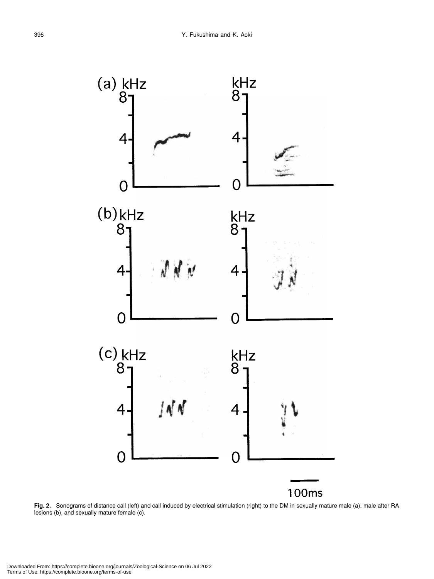

**Fig. 2.** Sonograms of distance call (left) and call induced by electrical stimulation (right) to the DM in sexually mature male (a), male after RA lesions (b), and sexually mature female (c).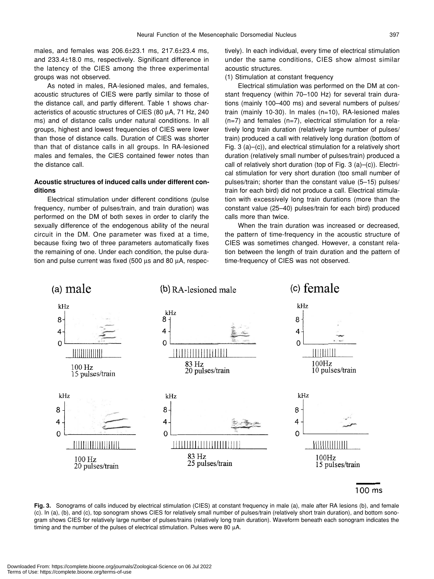males, and females was 206.6±23.1 ms, 217.6±23.4 ms, and 233.4±18.0 ms, respectively. Significant difference in the latency of the CIES among the three experimental groups was not observed.

As noted in males, RA-lesioned males, and females, acoustic structures of CIES were partly similar to those of the distance call, and partly different. Table 1 shows characteristics of acoustic structures of CIES (80 µA, 71 Hz, 240 ms) and of distance calls under natural conditions. In all groups, highest and lowest frequencies of CIES were lower than those of distance calls. Duration of CIES was shorter than that of distance calls in all groups. In RA-lesioned males and females, the CIES contained fewer notes than the distance call.

## **Acoustic structures of induced calls under different conditions**

Electrical stimulation under different conditions (pulse frequency, number of pulses/train, and train duration) was performed on the DM of both sexes in order to clarify the sexually difference of the endogenous ability of the neural circuit in the DM. One parameter was fixed at a time, because fixing two of three parameters automatically fixes the remaining of one. Under each condition, the pulse duration and pulse current was fixed (500 µs and 80 µA, respectively). In each individual, every time of electrical stimulation under the same conditions, CIES show almost similar acoustic structures.

## (1) Stimulation at constant frequency

Electrical stimulation was performed on the DM at constant frequency (within 70–100 Hz) for several train durations (mainly 100–400 ms) and several numbers of pulses/ train (mainly 10-30). In males (n=10), RA-lesioned males (n=7) and females (n=7), electrical stimulation for a relatively long train duration (relatively large number of pulses/ train) produced a call with relatively long duration (bottom of Fig. 3 (a)–(c)), and electrical stimulation for a relatively short duration (relatively small number of pulses/train) produced a call of relatively short duration (top of Fig. 3 (a)–(c)). Electrical stimulation for very short duration (too small number of pulses/train; shorter than the constant value (5–15) pulses/ train for each bird) did not produce a call. Electrical stimulation with excessively long train durations (more than the constant value (25–40) pulses/train for each bird) produced calls more than twice.

When the train duration was increased or decreased, the pattern of time-frequency in the acoustic structure of CIES was sometimes changed. However, a constant relation between the length of train duration and the pattern of time-frequency of CIES was not observed.



100 ms

**Fig. 3.** Sonograms of calls induced by electrical stimulation (CIES) at constant frequency in male (a), male after RA lesions (b), and female (c). In (a), (b), and (c), top sonogram shows CIES for relatively small number of pulses/train (relatively short train duration), and bottom sonogram shows CIES for relatively large number of pulses/trains (relatively long train duration). Waveform beneath each sonogram indicates the timing and the number of the pulses of electrical stimulation. Pulses were 80 µA.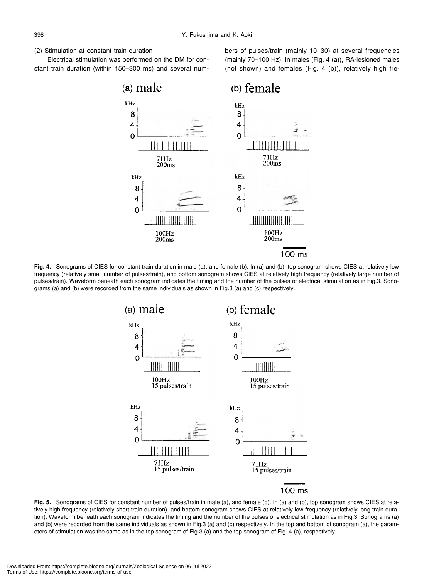## (2) Stimulation at constant train duration

Electrical stimulation was performed on the DM for constant train duration (within 150–300 ms) and several numbers of pulses/train (mainly 10–30) at several frequencies (mainly 70–100 Hz). In males (Fig. 4 (a)), RA-lesioned males (not shown) and females (Fig. 4 (b)), relatively high fre-



Fig. 4. Sonograms of CIES for constant train duration in male (a), and female (b). In (a) and (b), top sonogram shows CIES at relatively low frequency (relatively small number of pulses/train), and bottom sonogram shows CIES at relatively high frequency (relatively large number of pulses/train). Waveform beneath each sonogram indicates the timing and the number of the pulses of electrical stimulation as in Fig.3. Sonograms (a) and (b) were recorded from the same individuals as shown in Fig.3 (a) and (c) respectively.



**Fig. 5.** Sonograms of CIES for constant number of pulses/train in male (a), and female (b). In (a) and (b), top sonogram shows CIES at relatively high frequency (relatively short train duration), and bottom sonogram shows CIES at relatively low frequency (relatively long train duration). Waveform beneath each sonogram indicates the timing and the number of the pulses of electrical stimulation as in Fig.3. Sonograms (a) and (b) were recorded from the same individuals as shown in Fig.3 (a) and (c) respectively. In the top and bottom of sonogram (a), the parameters of stimulation was the same as in the top sonogram of Fig.3 (a) and the top sonogram of Fig. 4 (a), respectively.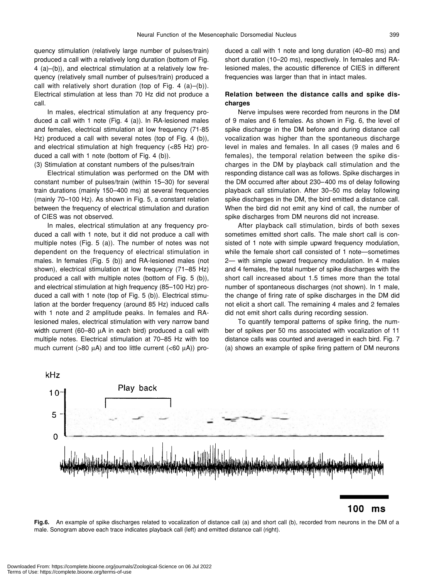quency stimulation (relatively large number of pulses/train) produced a call with a relatively long duration (bottom of Fig. 4 (a)–(b)), and electrical stimulation at a relatively low frequency (relatively small number of pulses/train) produced a call with relatively short duration (top of Fig. 4 (a)–(b)). Electrical stimulation at less than 70 Hz did not produce a call.

In males, electrical stimulation at any frequency produced a call with 1 note (Fig. 4 (a)). In RA-lesioned males and females, electrical stimulation at low frequency (71-85 Hz) produced a call with several notes (top of Fig. 4 (b)), and electrical stimulation at high frequency (<85 Hz) produced a call with 1 note (bottom of Fig. 4 (b)).

(3) Stimulation at constant numbers of the pulses/train

Electrical stimulation was performed on the DM with constant number of pulses/train (within 15–30) for several train durations (mainly 150–400 ms) at several frequencies (mainly 70–100 Hz). As shown in Fig. 5, a constant relation between the frequency of electrical stimulation and duration of CIES was not observed.

In males, electrical stimulation at any frequency produced a call with 1 note, but it did not produce a call with multiple notes (Fig. 5 (a)). The number of notes was not dependent on the frequency of electrical stimulation in males. In females (Fig. 5 (b)) and RA-lesioned males (not shown), electrical stimulation at low frequency (71–85 Hz) produced a call with multiple notes (bottom of Fig. 5 (b)), and electrical stimulation at high frequency (85–100 Hz) produced a call with 1 note (top of Fig. 5 (b)). Electrical stimulation at the border frequency (around 85 Hz) induced calls with 1 note and 2 amplitude peaks. In females and RAlesioned males, electrical stimulation with very narrow band width current (60–80 µA in each bird) produced a call with multiple notes. Electrical stimulation at 70–85 Hz with too much current (>80  $\mu$ A) and too little current (<60  $\mu$ A)) produced a call with 1 note and long duration (40–80 ms) and short duration (10–20 ms), respectively. In females and RAlesioned males, the acoustic difference of CIES in different frequencies was larger than that in intact males.

## **Relation between the distance calls and spike discharges**

Nerve impulses were recorded from neurons in the DM of 9 males and 6 females. As shown in Fig. 6, the level of spike discharge in the DM before and during distance call vocalization was higher than the spontaneous discharge level in males and females. In all cases (9 males and 6 females), the temporal relation between the spike discharges in the DM by playback call stimulation and the responding distance call was as follows. Spike discharges in the DM occurred after about 230–400 ms of delay following playback call stimulation. After 30–50 ms delay following spike discharges in the DM, the bird emitted a distance call. When the bird did not emit any kind of call, the number of spike discharges from DM neurons did not increase.

After playback call stimulation, birds of both sexes sometimes emitted short calls. The male short call is consisted of 1 note with simple upward frequency modulation, while the female short call consisted of 1 note—sometimes 2— with simple upward frequency modulation. In 4 males and 4 females, the total number of spike discharges with the short call increased about 1.5 times more than the total number of spontaneous discharges (not shown). In 1 male, the change of firing rate of spike discharges in the DM did not elicit a short call. The remaining 4 males and 2 females did not emit short calls during recording session.

To quantify temporal patterns of spike firing, the number of spikes per 50 ms associated with vocalization of 11 distance calls was counted and averaged in each bird. Fig. 7 (a) shows an example of spike firing pattern of DM neurons



#### 100  $ms$

**Fig.6.** An example of spike discharges related to vocalization of distance call (a) and short call (b), recorded from neurons in the DM of a male. Sonogram above each trace indicates playback call (left) and emitted distance call (right).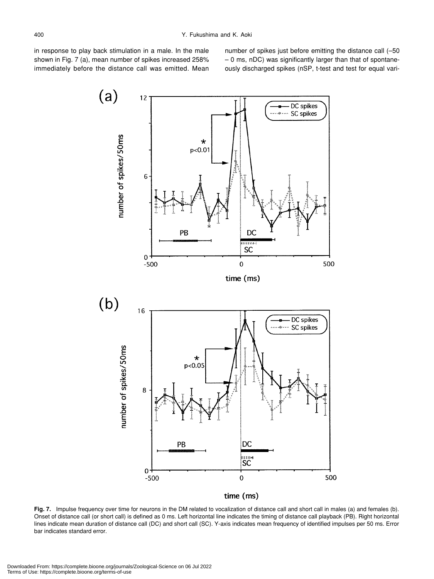in response to play back stimulation in a male. In the male shown in Fig. 7 (a), mean number of spikes increased 258% immediately before the distance call was emitted. Mean

number of spikes just before emitting the distance call (–50 – 0 ms, nDC) was significantly larger than that of spontaneously discharged spikes (nSP, t-test and test for equal vari-



time (ms)

Fig. 7. Impulse frequency over time for neurons in the DM related to vocalization of distance call and short call in males (a) and females (b). Onset of distance call (or short call) is defined as 0 ms. Left horizontal line indicates the timing of distance call playback (PB). Right horizontal lines indicate mean duration of distance call (DC) and short call (SC). Y-axis indicates mean frequency of identified impulses per 50 ms. Error bar indicates standard error.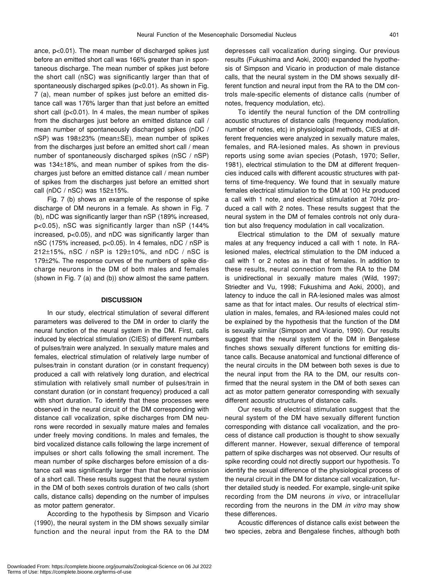ance, p<0.01). The mean number of discharged spikes just before an emitted short call was 166% greater than in spontaneous discharge. The mean number of spikes just before the short call (nSC) was significantly larger than that of spontaneously discharged spikes (p<0.01). As shown in Fig. 7 (a), mean number of spikes just before an emitted distance call was 176% larger than that just before an emitted short call (p<0.01). In 4 males, the mean number of spikes from the discharges just before an emitted distance call / mean number of spontaneously discharged spikes (nDC / nSP) was 198±23% (mean±SE), mean number of spikes from the discharges just before an emitted short call / mean number of spontaneously discharged spikes (nSC / nSP) was 134±18%, and mean number of spikes from the discharges just before an emitted distance call / mean number of spikes from the discharges just before an emitted short call (nDC / nSC) was 152±15%.

Fig. 7 (b) shows an example of the response of spike discharge of DM neurons in a female. As shown in Fig. 7 (b), nDC was significantly larger than nSP (189% increased, p<0.05), nSC was significantly larger than nSP (144% increased, p<0.05), and nDC was significantly larger than nSC (175% increased, p<0.05). In 4 females, nDC / nSP is 212±15%, nSC / nSP is 129±10%, and nDC / nSC is 179±2%. The response curves of the numbers of spike discharge neurons in the DM of both males and females (shown in Fig. 7 (a) and (b)) show almost the same pattern.

## **DISCUSSION**

In our study, electrical stimulation of several different parameters was delivered to the DM in order to clarify the neural function of the neural system in the DM. First, calls induced by electrical stimulation (CIES) of different numbers of pulses/train were analyzed. In sexually mature males and females, electrical stimulation of relatively large number of pulses/train in constant duration (or in constant frequency) produced a call with relatively long duration, and electrical stimulation with relatively small number of pulses/train in constant duration (or in constant frequency) produced a call with short duration. To identify that these processes were observed in the neural circuit of the DM corresponding with distance call vocalization, spike discharges from DM neurons were recorded in sexually mature males and females under freely moving conditions. In males and females, the bird vocalized distance calls following the large increment of impulses or short calls following the small increment. The mean number of spike discharges before emission of a distance call was significantly larger than that before emission of a short call. These results suggest that the neural system in the DM of both sexes controls duration of two calls (short calls, distance calls) depending on the number of impulses as motor pattern generator.

According to the hypothesis by Simpson and Vicario (1990), the neural system in the DM shows sexually similar function and the neural input from the RA to the DM depresses call vocalization during singing. Our previous results (Fukushima and Aoki, 2000) expanded the hypothesis of Simpson and Vicario in production of male distance calls, that the neural system in the DM shows sexually different function and neural input from the RA to the DM controls male-specific elements of distance calls (number of notes, frequency modulation, etc).

To identify the neural function of the DM controlling acoustic structures of distance calls (frequency modulation, number of notes, etc) in physiological methods, CIES at different frequencies were analyzed in sexually mature males, females, and RA-lesioned males. As shown in previous reports using some avian species (Potash, 1970; Seller, 1981), electrical stimulation to the DM at different frequencies induced calls with different acoustic structures with patterns of time-frequency. We found that in sexually mature females electrical stimulation to the DM at 100 Hz produced a call with 1 note, and electrical stimulation at 70Hz produced a call with 2 notes. These results suggest that the neural system in the DM of females controls not only duration but also frequency modulation in call vocalization.

Electrical stimulation to the DM of sexually mature males at any frequency induced a call with 1 note. In RAlesioned males, electrical stimulation to the DM induced a call with 1 or 2 notes as in that of females. In addition to these results, neural connection from the RA to the DM is unidirectional in sexually mature males (Wild, 1997; Striedter and Vu, 1998; Fukushima and Aoki, 2000), and latency to induce the call in RA-lesioned males was almost same as that for intact males. Our results of electrical stimulation in males, females, and RA-lesioned males could not be explained by the hypothesis that the function of the DM is sexually similar (Simpson and Vicario, 1990). Our results suggest that the neural system of the DM in Bengalese finches shows sexually different functions for emitting distance calls. Because anatomical and functional difference of the neural circuits in the DM between both sexes is due to the neural input from the RA to the DM, our results confirmed that the neural system in the DM of both sexes can act as motor pattern generator corresponding with sexually different acoustic structures of distance calls.

Our results of electrical stimulation suggest that the neural system of the DM have sexually different function corresponding with distance call vocalization, and the process of distance call production is thought to show sexually different manner. However, sexual difference of temporal pattern of spike discharges was not observed. Our results of spike recording could not directly support our hypothesis. To identify the sexual difference of the physiological process of the neural circuit in the DM for distance call vocalization, further detailed study is needed. For example, single-unit spike recording from the DM neurons *in vivo*, or intracellular recording from the neurons in the DM *in vitro* may show these differences.

Acoustic differences of distance calls exist between the two species, zebra and Bengalese finches, although both